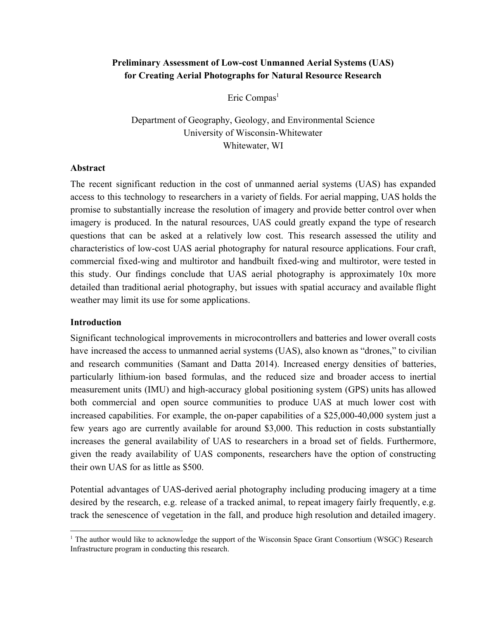# **Preliminary Assessment of Lowcost Unmanned Aerial Systems (UAS) for Creating Aerial Photographs for Natural Resource Research**

Eric Compas<sup>1</sup>

Department of Geography, Geology, and Environmental Science University of Wisconsin-Whitewater Whitewater, WI

#### **Abstract**

The recent significant reduction in the cost of unmanned aerial systems (UAS) has expanded access to this technology to researchers in a variety of fields. For aerial mapping, UAS holds the promise to substantially increase the resolution of imagery and provide better control over when imagery is produced. In the natural resources, UAS could greatly expand the type of research questions that can be asked at a relatively low cost. This research assessed the utility and characteristics of low-cost UAS aerial photography for natural resource applications. Four craft, commercial fixed-wing and multirotor and handbuilt fixed-wing and multirotor, were tested in this study. Our findings conclude that UAS aerial photography is approximately 10x more detailed than traditional aerial photography, but issues with spatial accuracy and available flight weather may limit its use for some applications.

#### **Introduction**

Significant technological improvements in microcontrollers and batteries and lower overall costs have increased the access to unmanned aerial systems (UAS), also known as "drones," to civilian and research communities (Samant and Datta 2014). Increased energy densities of batteries, particularly lithium-ion based formulas, and the reduced size and broader access to inertial measurement units (IMU) and high-accuracy global positioning system (GPS) units has allowed both commercial and open source communities to produce UAS at much lower cost with increased capabilities. For example, the on-paper capabilities of a  $$25,000-40,000$  system just a few years ago are currently available for around \$3,000. This reduction in costs substantially increases the general availability of UAS to researchers in a broad set of fields. Furthermore, given the ready availability of UAS components, researchers have the option of constructing their own UAS for as little as \$500.

Potential advantages of UAS-derived aerial photography including producing imagery at a time desired by the research, e.g. release of a tracked animal, to repeat imagery fairly frequently, e.g. track the senescence of vegetation in the fall, and produce high resolution and detailed imagery.

<sup>&</sup>lt;sup>1</sup> The author would like to acknowledge the support of the Wisconsin Space Grant Consortium (WSGC) Research Infrastructure program in conducting this research.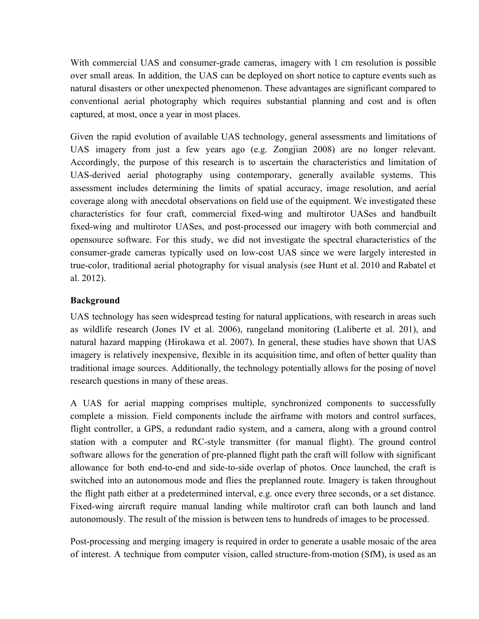With commercial UAS and consumer-grade cameras, imagery with 1 cm resolution is possible over small areas. In addition, the UAS can be deployed on short notice to capture events such as natural disasters or other unexpected phenomenon. These advantages are significant compared to conventional aerial photography which requires substantial planning and cost and is often captured, at most, once a year in most places.

Given the rapid evolution of available UAS technology, general assessments and limitations of UAS imagery from just a few years ago (e.g. Zongjian 2008) are no longer relevant. Accordingly, the purpose of this research is to ascertain the characteristics and limitation of UAS-derived aerial photography using contemporary, generally available systems. This assessment includes determining the limits of spatial accuracy, image resolution, and aerial coverage along with anecdotal observations on field use of the equipment. We investigated these characteristics for four craft, commercial fixedwing and multirotor UASes and handbuilt fixed-wing and multirotor UASes, and post-processed our imagery with both commercial and opensource software. For this study, we did not investigate the spectral characteristics of the consumer-grade cameras typically used on low-cost UAS since we were largely interested in true-color, traditional aerial photography for visual analysis (see Hunt et al. 2010 and Rabatel et al. 2012).

# **Background**

UAS technology has seen widespread testing for natural applications, with research in areas such as wildlife research (Jones IV et al. 2006), rangeland monitoring (Laliberte et al. 201), and natural hazard mapping (Hirokawa et al. 2007). In general, these studies have shown that UAS imagery is relatively inexpensive, flexible in its acquisition time, and often of better quality than traditional image sources. Additionally, the technology potentially allows for the posing of novel research questions in many of these areas.

A UAS for aerial mapping comprises multiple, synchronized components to successfully complete a mission. Field components include the airframe with motors and control surfaces, flight controller, a GPS, a redundant radio system, and a camera, along with a ground control station with a computer and RC-style transmitter (for manual flight). The ground control software allows for the generation of pre-planned flight path the craft will follow with significant allowance for both end-to-end and side-to-side overlap of photos. Once launched, the craft is switched into an autonomous mode and flies the preplanned route. Imagery is taken throughout the flight path either at a predetermined interval, e.g. once every three seconds, or a set distance. Fixed-wing aircraft require manual landing while multirotor craft can both launch and land autonomously. The result of the mission is between tens to hundreds of images to be processed.

Post-processing and merging imagery is required in order to generate a usable mosaic of the area of interest. A technique from computer vision, called structure-from-motion (SfM), is used as an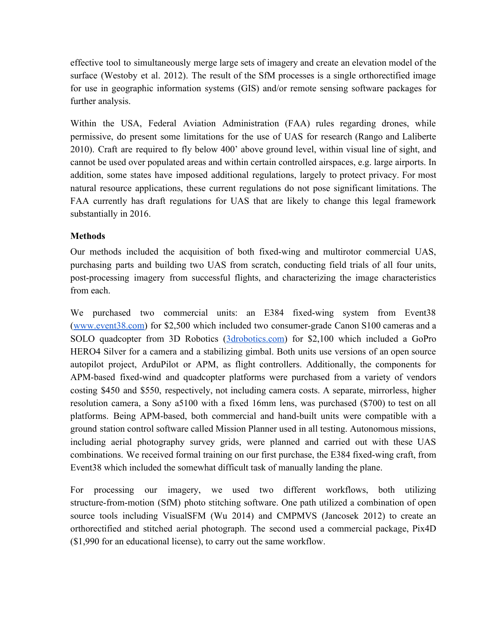effective tool to simultaneously merge large sets of imagery and create an elevation model of the surface (Westoby et al. 2012). The result of the SfM processes is a single orthorectified image for use in geographic information systems (GIS) and/or remote sensing software packages for further analysis.

Within the USA, Federal Aviation Administration (FAA) rules regarding drones, while permissive, do present some limitations for the use of UAS for research (Rango and Laliberte 2010). Craft are required to fly below 400' above ground level, within visual line of sight, and cannot be used over populated areas and within certain controlled airspaces, e.g. large airports. In addition, some states have imposed additional regulations, largely to protect privacy. For most natural resource applications, these current regulations do not pose significant limitations. The FAA currently has draft regulations for UAS that are likely to change this legal framework substantially in 2016.

# **Methods**

Our methods included the acquisition of both fixedwing and multirotor commercial UAS, purchasing parts and building two UAS from scratch, conducting field trials of all four units, post-processing imagery from successful flights, and characterizing the image characteristics from each.

We purchased two commercial units: an E384 fixed-wing system from Event38  $(www.event38.com)$  for \$2,500 which included two consumer-grade Canon S100 cameras and a SOLO quadcopter from 3D Robotics (3drobotics.com) for \$2,100 which included a GoPro HERO4 Silver for a camera and a stabilizing gimbal. Both units use versions of an open source autopilot project, ArduPilot or APM, as flight controllers. Additionally, the components for APM-based fixed-wind and quadcopter platforms were purchased from a variety of vendors costing \$450 and \$550, respectively, not including camera costs. A separate, mirrorless, higher resolution camera, a Sony a5100 with a fixed 16mm lens, was purchased (\$700) to test on all platforms. Being APM-based, both commercial and hand-built units were compatible with a ground station control software called Mission Planner used in all testing. Autonomous missions, including aerial photography survey grids, were planned and carried out with these UAS combinations. We received formal training on our first purchase, the E384 fixed-wing craft, from Event38 which included the somewhat difficult task of manually landing the plane.

For processing our imagery, we used two different workflows, both utilizing structure-from-motion (SfM) photo stitching software. One path utilized a combination of open source tools including VisualSFM (Wu 2014) and CMPMVS (Jancosek 2012) to create an orthorectified and stitched aerial photograph. The second used a commercial package, Pix4D (\$1,990 for an educational license), to carry out the same workflow.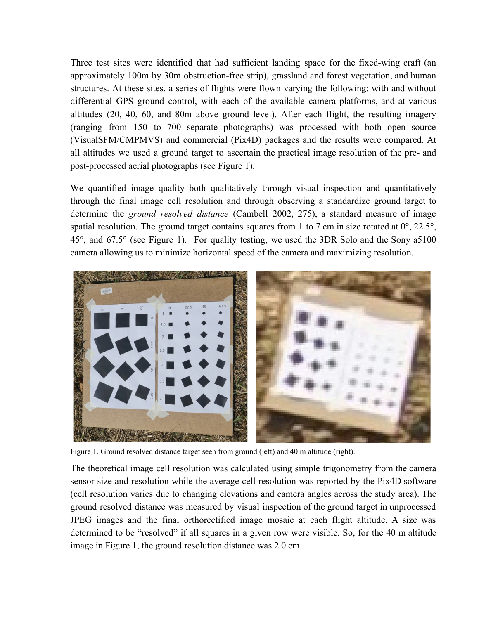Three test sites were identified that had sufficient landing space for the fixed-wing craft (an approximately 100m by 30m obstruction-free strip), grassland and forest vegetation, and human structures. At these sites, a series of flights were flown varying the following: with and without differential GPS ground control, with each of the available camera platforms, and at various altitudes (20, 40, 60, and 80m above ground level). After each flight, the resulting imagery (ranging from 150 to 700 separate photographs) was processed with both open source (VisualSFM/CMPMVS) and commercial (Pix4D) packages and the results were compared. At all altitudes we used a ground target to ascertain the practical image resolution of the pre- and post-processed aerial photographs (see Figure 1).

We quantified image quality both qualitatively through visual inspection and quantitatively through the final image cell resolution and through observing a standardize ground target to determine the *ground resolved distance* (Cambell 2002, 275), a standard measure of image spatial resolution. The ground target contains squares from 1 to 7 cm in size rotated at  $0^{\circ}$ , 22.5°, 45°, and 67.5° (see Figure 1). For quality testing, we used the 3DR Solo and the Sony a5100 camera allowing us to minimize horizontal speed of the camera and maximizing resolution.



Figure 1. Ground resolved distance target seen from ground (left) and 40 m altitude (right).

The theoretical image cell resolution was calculated using simple trigonometry from the camera sensor size and resolution while the average cell resolution was reported by the Pix4D software (cell resolution varies due to changing elevations and camera angles across the study area). The ground resolved distance was measured by visual inspection of the ground target in unprocessed JPEG images and the final orthorectified image mosaic at each flight altitude. A size was determined to be "resolved" if all squares in a given row were visible. So, for the 40 m altitude image in Figure 1, the ground resolution distance was 2.0 cm.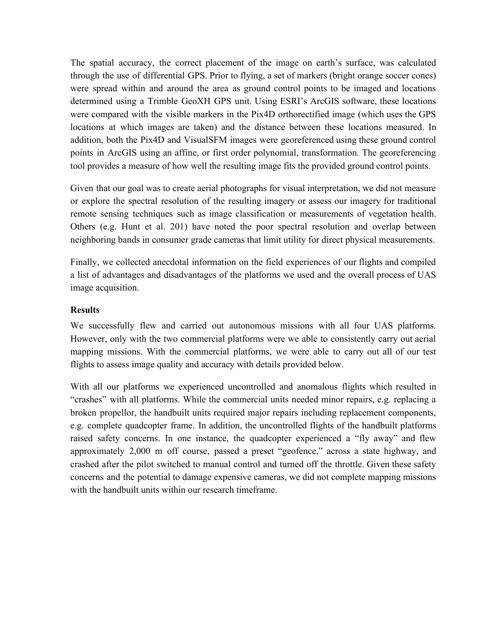The spatial accuracy, the correct placement of the image on earth's surface, was calculated through the use of differential GPS. Prior to flying, a set of markers (bright orange soccer cones) were spread within and around the area as ground control points to be imaged and locations determined using a Trimble GeoXH GPS unit. Using ESRI's ArcGIS software, these locations were compared with the visible markers in the Pix4D orthorectified image (which uses the GPS locations at which images are taken) and the distance between these locations measured. In addition, both the Pix4D and VisualSFM images were georeferenced using these ground control points in ArcGIS using an affine, or first order polynomial, transformation. The georeferencing tool provides a measure of how well the resulting image fits the provided ground control points.

Given that our goal was to create aerial photographs for visual interpretation, we did not measure or explore the spectral resolution of the resulting imagery or assess our imagery for traditional remote sensing techniques such as image classification or measurements of vegetation health. Others (e.g. Hunt et al. 201) have noted the poor spectral resolution and overlap between neighboring bands in consumer grade cameras that limit utility for direct physical measurements.

Finally, we collected anecdotal information on the field experiences of our flights and compiled a list of advantages and disadvantages of the platforms we used and the overall process of UAS image acquisition.

#### **Results**

We successfully flew and carried out autonomous missions with all four UAS platforms. However, only with the two commercial platforms were we able to consistently carry out aerial mapping missions. With the commercial platforms, we were able to carry out all of our test flights to assess image quality and accuracy with details provided below.

With all our platforms we experienced uncontrolled and anomalous flights which resulted in "crashes" with all platforms. While the commercial units needed minor repairs, e.g. replacing a broken propellor, the handbuilt units required major repairs including replacement components, e.g. complete quadcopter frame. In addition, the uncontrolled flights of the handbuilt platforms raised safety concerns. In one instance, the quadcopter experienced a "fly away" and flew approximately 2,000 m off course, passed a preset "geofence," across a state highway, and crashed after the pilot switched to manual control and turned off the throttle. Given these safety concerns and the potential to damage expensive cameras, we did not complete mapping missions with the handbuilt units within our research timeframe.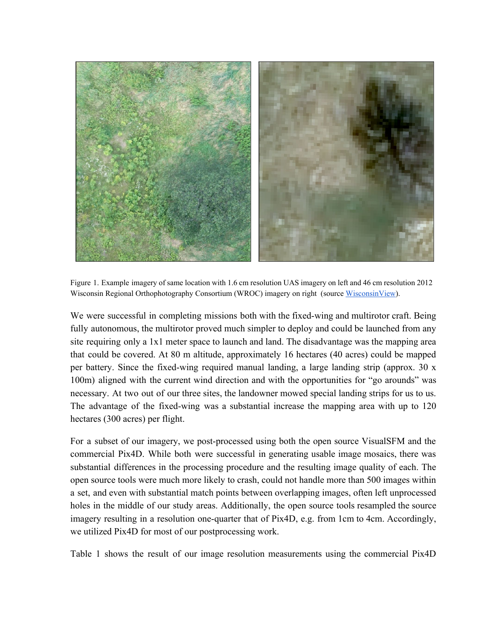

Figure 1. Example imagery of same location with 1.6 cm resolution UAS imagery on left and 46 cm resolution 2012 Wisconsin Regional Orthophotography Consortium (WROC) imagery on right (source WisconsinView).

We were successful in completing missions both with the fixed-wing and multirotor craft. Being fully autonomous, the multirotor proved much simpler to deploy and could be launched from any site requiring only a 1x1 meter space to launch and land. The disadvantage was the mapping area that could be covered. At 80 m altitude, approximately 16 hectares (40 acres) could be mapped per battery. Since the fixed-wing required manual landing, a large landing strip (approx.  $30 \times$ 100m) aligned with the current wind direction and with the opportunities for "go arounds" was necessary. At two out of our three sites, the landowner mowed special landing strips for us to us. The advantage of the fixed-wing was a substantial increase the mapping area with up to 120 hectares (300 acres) per flight.

For a subset of our imagery, we post-processed using both the open source VisualSFM and the commercial Pix4D. While both were successful in generating usable image mosaics, there was substantial differences in the processing procedure and the resulting image quality of each. The open source tools were much more likely to crash, could not handle more than 500 images within a set, and even with substantial match points between overlapping images, often left unprocessed holes in the middle of our study areas. Additionally, the open source tools resampled the source imagery resulting in a resolution one-quarter that of Pix4D, e.g. from 1cm to 4cm. Accordingly, we utilized Pix4D for most of our postprocessing work.

Table 1 shows the result of our image resolution measurements using the commercial Pix4D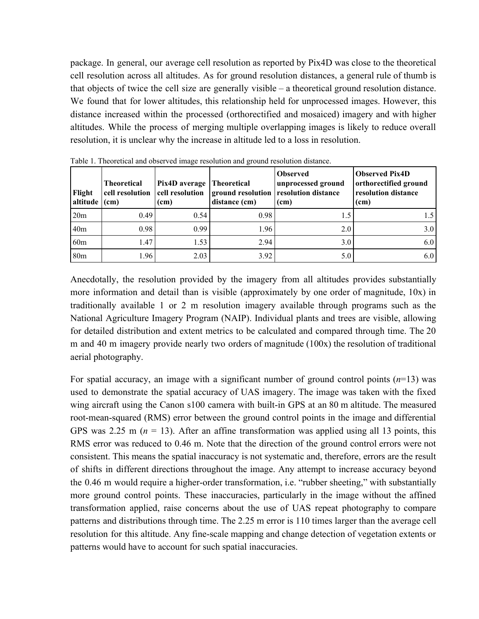package. In general, our average cell resolution as reported by Pix4D was close to the theoretical cell resolution across all altitudes. As for ground resolution distances, a general rule of thumb is that objects of twice the cell size are generally visible – a theoretical ground resolution distance. We found that for lower altitudes, this relationship held for unprocessed images. However, this distance increased within the processed (orthorectified and mosaiced) imagery and with higher altitudes. While the process of merging multiple overlapping images is likely to reduce overall resolution, it is unclear why the increase in altitude led to a loss in resolution.

| Flight<br>altitude | <b>Theoretical</b><br>cell resolution<br>(cm) | Pix4D average<br>cell resolution<br>(c <sub>m</sub> ) | <b>Theoretical</b><br>distance (cm) | <b>Observed</b><br>unprocessed ground<br>ground resolution resolution distance<br>(cm) | <b>Observed Pix4D</b><br>orthorectified ground<br>resolution distance<br>(cm) |
|--------------------|-----------------------------------------------|-------------------------------------------------------|-------------------------------------|----------------------------------------------------------------------------------------|-------------------------------------------------------------------------------|
| 20m                | 0.49                                          | 0.54                                                  | 0.98                                | 1.5                                                                                    | 1.5                                                                           |
| 40 <sub>m</sub>    | 0.98                                          | 0.99                                                  | 1.96                                | 2.0                                                                                    | 3.0                                                                           |
| 60 <sub>m</sub>    | 1.47                                          | 1.53                                                  | 2.94                                | 3.0                                                                                    | 6.0                                                                           |
| 80 <sub>m</sub>    | 1.96                                          | 2.03                                                  | 3.92                                | 5.0                                                                                    | 6.0                                                                           |

Table 1. Theoretical and observed image resolution and ground resolution distance.

Anecdotally, the resolution provided by the imagery from all altitudes provides substantially more information and detail than is visible (approximately by one order of magnitude, 10x) in traditionally available 1 or 2 m resolution imagery available through programs such as the National Agriculture Imagery Program (NAIP). Individual plants and trees are visible, allowing for detailed distribution and extent metrics to be calculated and compared through time. The 20 m and 40 m imagery provide nearly two orders of magnitude (100x) the resolution of traditional aerial photography.

For spatial accuracy, an image with a significant number of ground control points  $(n=13)$  was used to demonstrate the spatial accuracy of UAS imagery. The image was taken with the fixed wing aircraft using the Canon s100 camera with built-in GPS at an 80 m altitude. The measured root-mean-squared (RMS) error between the ground control points in the image and differential GPS was 2.25 m  $(n = 13)$ . After an affine transformation was applied using all 13 points, this RMS error was reduced to 0.46 m. Note that the direction of the ground control errors were not consistent. This means the spatial inaccuracy is not systematic and, therefore, errors are the result of shifts in different directions throughout the image. Any attempt to increase accuracy beyond the 0.46 m would require a higher-order transformation, i.e. "rubber sheeting," with substantially more ground control points. These inaccuracies, particularly in the image without the affined transformation applied, raise concerns about the use of UAS repeat photography to compare patterns and distributions through time. The 2.25 m error is 110 times larger than the average cell resolution for this altitude. Any fine-scale mapping and change detection of vegetation extents or patterns would have to account for such spatial inaccuracies.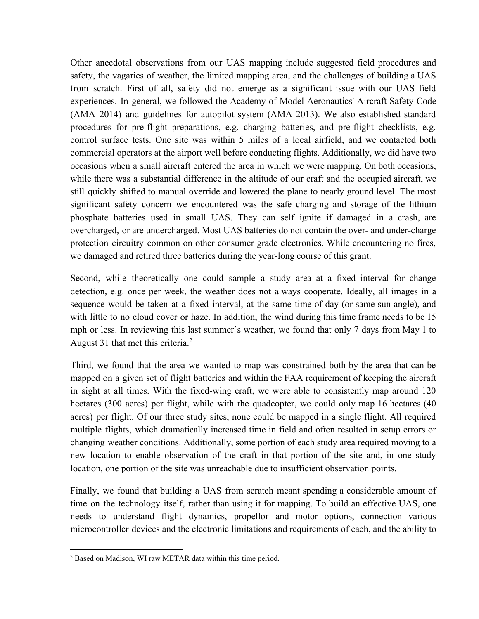Other anecdotal observations from our UAS mapping include suggested field procedures and safety, the vagaries of weather, the limited mapping area, and the challenges of building a UAS from scratch. First of all, safety did not emerge as a significant issue with our UAS field experiences. In general, we followed the Academy of Model Aeronautics' Aircraft Safety Code (AMA 2014) and guidelines for autopilot system (AMA 2013). We also established standard procedures for preflight preparations, e.g. charging batteries, and preflight checklists, e.g. control surface tests. One site was within 5 miles of a local airfield, and we contacted both commercial operators at the airport well before conducting flights. Additionally, we did have two occasions when a small aircraft entered the area in which we were mapping. On both occasions, while there was a substantial difference in the altitude of our craft and the occupied aircraft, we still quickly shifted to manual override and lowered the plane to nearly ground level. The most significant safety concern we encountered was the safe charging and storage of the lithium phosphate batteries used in small UAS. They can self ignite if damaged in a crash, are overcharged, or are undercharged. Most UAS batteries do not contain the over- and under-charge protection circuitry common on other consumer grade electronics. While encountering no fires, we damaged and retired three batteries during the year-long course of this grant.

Second, while theoretically one could sample a study area at a fixed interval for change detection, e.g. once per week, the weather does not always cooperate. Ideally, all images in a sequence would be taken at a fixed interval, at the same time of day (or same sun angle), and with little to no cloud cover or haze. In addition, the wind during this time frame needs to be 15 mph or less. In reviewing this last summer's weather, we found that only 7 days from May 1 to August 31 that met this criteria. 2

Third, we found that the area we wanted to map was constrained both by the area that can be mapped on a given set of flight batteries and within the FAA requirement of keeping the aircraft in sight at all times. With the fixed-wing craft, we were able to consistently map around 120 hectares (300 acres) per flight, while with the quadcopter, we could only map 16 hectares (40 acres) per flight. Of our three study sites, none could be mapped in a single flight. All required multiple flights, which dramatically increased time in field and often resulted in setup errors or changing weather conditions. Additionally, some portion of each study area required moving to a new location to enable observation of the craft in that portion of the site and, in one study location, one portion of the site was unreachable due to insufficient observation points.

Finally, we found that building a UAS from scratch meant spending a considerable amount of time on the technology itself, rather than using it for mapping. To build an effective UAS, one needs to understand flight dynamics, propellor and motor options, connection various microcontroller devices and the electronic limitations and requirements of each, and the ability to

<sup>2</sup> Based on Madison, WI raw METAR data within this time period.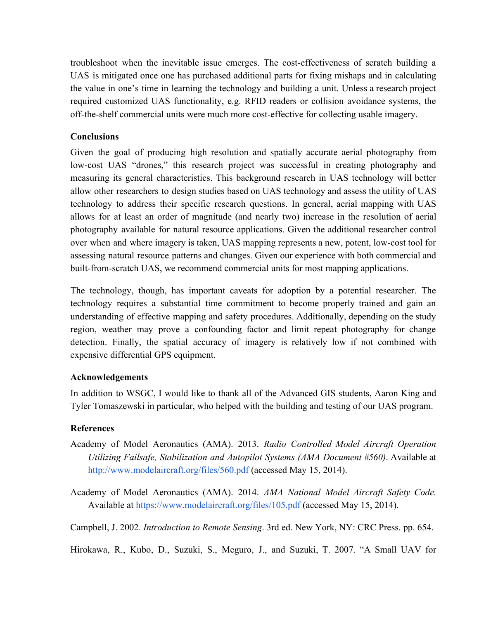troubleshoot when the inevitable issue emerges. The cost-effectiveness of scratch building a UAS is mitigated once one has purchased additional parts for fixing mishaps and in calculating the value in one's time in learning the technology and building a unit. Unless a research project required customized UAS functionality, e.g. RFID readers or collision avoidance systems, the off-the-shelf commercial units were much more cost-effective for collecting usable imagery.

### **Conclusions**

Given the goal of producing high resolution and spatially accurate aerial photography from low-cost UAS "drones," this research project was successful in creating photography and measuring its general characteristics. This background research in UAS technology will better allow other researchers to design studies based on UAS technology and assess the utility of UAS technology to address their specific research questions. In general, aerial mapping with UAS allows for at least an order of magnitude (and nearly two) increase in the resolution of aerial photography available for natural resource applications. Given the additional researcher control over when and where imagery is taken, UAS mapping represents a new, potent, lowcost tool for assessing natural resource patterns and changes. Given our experience with both commercial and built-from-scratch UAS, we recommend commercial units for most mapping applications.

The technology, though, has important caveats for adoption by a potential researcher. The technology requires a substantial time commitment to become properly trained and gain an understanding of effective mapping and safety procedures. Additionally, depending on the study region, weather may prove a confounding factor and limit repeat photography for change detection. Finally, the spatial accuracy of imagery is relatively low if not combined with expensive differential GPS equipment.

#### **Acknowledgements**

In addition to WSGC, I would like to thank all of the Advanced GIS students, Aaron King and Tyler Tomaszewski in particular, who helped with the building and testing of our UAS program.

# **References**

- Academy of Model Aeronautics (AMA). 2013. *Radio Controlled Model Aircraft Operation Utilizing Failsafe, Stabilization and Autopilot Systems (AMA Document #560)*. Available at http://www.modelaircraft.org/files/560.pdf (accessed May 15, 2014).
- Academy of Model Aeronautics (AMA). 2014. *AMA National Model Aircraft Safety Code.* Available at https://www.modelaircraft.org/files/105.pdf (accessed May 15, 2014).
- Campbell, J. 2002. *Introduction to Remote Sensing*. 3rd ed. New York, NY: CRC Press. pp. 654.

Hirokawa, R., Kubo, D., Suzuki, S., Meguro, J., and Suzuki, T. 2007. "A Small UAV for